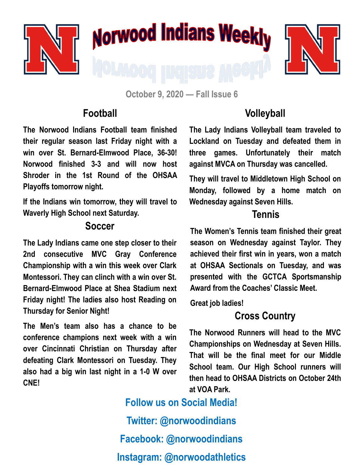

**October 9, 2020 — Fall Issue 6**

### **Football**

**The Norwood Indians Football team finished their regular season last Friday night with a win over St. Bernard-Elmwood Place, 36-30! Norwood finished 3-3 and will now host Shroder in the 1st Round of the OHSAA Playoffs tomorrow night.** 

**If the Indians win tomorrow, they will travel to Waverly High School next Saturday.** 

#### **Soccer**

**The Lady Indians came one step closer to their 2nd consecutive MVC Gray Conference Championship with a win this week over Clark Montessori. They can clinch with a win over St. Bernard-Elmwood Place at Shea Stadium next Friday night! The ladies also host Reading on Thursday for Senior Night!** 

**The Men's team also has a chance to be conference champions next week with a win over Cincinnati Christian on Thursday after defeating Clark Montessori on Tuesday. They also had a big win last night in a 1-0 W over CNE!**

## **Volleyball**

**The Lady Indians Volleyball team traveled to Lockland on Tuesday and defeated them in three games. Unfortunately their match against MVCA on Thursday was cancelled.** 

**They will travel to Middletown High School on Monday, followed by a home match on Wednesday against Seven Hills.** 

### **Tennis**

**The Women's Tennis team finished their great season on Wednesday against Taylor. They achieved their first win in years, won a match at OHSAA Sectionals on Tuesday, and was presented with the GCTCA Sportsmanship Award from the Coaches' Classic Meet.** 

**Great job ladies!**

## **Cross Country**

**The Norwood Runners will head to the MVC Championships on Wednesday at Seven Hills. That will be the final meet for our Middle School team. Our High School runners will then head to OHSAA Districts on October 24th at VOA Park.**

**Follow us on Social Media! Twitter: @norwoodindians Facebook: @norwoodindians Instagram: @norwoodathletics**